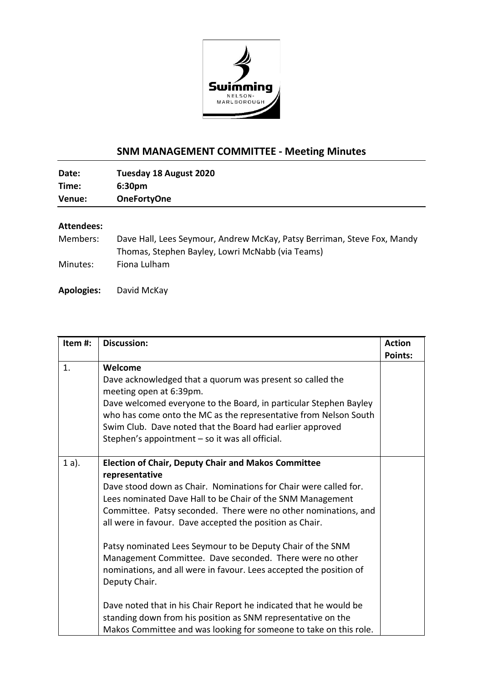

## **SNM MANAGEMENT COMMITTEE - Meeting Minutes**

| Date:  | Tuesday 18 August 2020 |  |
|--------|------------------------|--|
| Time:  | 6:30 <sub>pm</sub>     |  |
| Venue: | <b>OneFortyOne</b>     |  |
|        |                        |  |

## **Attendees:**

| Members: | Dave Hall, Lees Seymour, Andrew McKay, Patsy Berriman, Steve Fox, Mandy |
|----------|-------------------------------------------------------------------------|
|          | Thomas, Stephen Bayley, Lowri McNabb (via Teams)                        |
| Minutes: | Fiona Lulham                                                            |

**Apologies:** David McKay

| Item #: | <b>Discussion:</b>                                                                                                                                                                                                                                                                                                                                                                                                                                                                                                                                                                                                                                                                                  | <b>Action</b>  |
|---------|-----------------------------------------------------------------------------------------------------------------------------------------------------------------------------------------------------------------------------------------------------------------------------------------------------------------------------------------------------------------------------------------------------------------------------------------------------------------------------------------------------------------------------------------------------------------------------------------------------------------------------------------------------------------------------------------------------|----------------|
|         |                                                                                                                                                                                                                                                                                                                                                                                                                                                                                                                                                                                                                                                                                                     | <b>Points:</b> |
| 1.      | Welcome<br>Dave acknowledged that a quorum was present so called the<br>meeting open at 6:39pm.<br>Dave welcomed everyone to the Board, in particular Stephen Bayley<br>who has come onto the MC as the representative from Nelson South<br>Swim Club. Dave noted that the Board had earlier approved<br>Stephen's appointment - so it was all official.                                                                                                                                                                                                                                                                                                                                            |                |
| $1a$ ). | <b>Election of Chair, Deputy Chair and Makos Committee</b><br>representative<br>Dave stood down as Chair. Nominations for Chair were called for.<br>Lees nominated Dave Hall to be Chair of the SNM Management<br>Committee. Patsy seconded. There were no other nominations, and<br>all were in favour. Dave accepted the position as Chair.<br>Patsy nominated Lees Seymour to be Deputy Chair of the SNM<br>Management Committee. Dave seconded. There were no other<br>nominations, and all were in favour. Lees accepted the position of<br>Deputy Chair.<br>Dave noted that in his Chair Report he indicated that he would be<br>standing down from his position as SNM representative on the |                |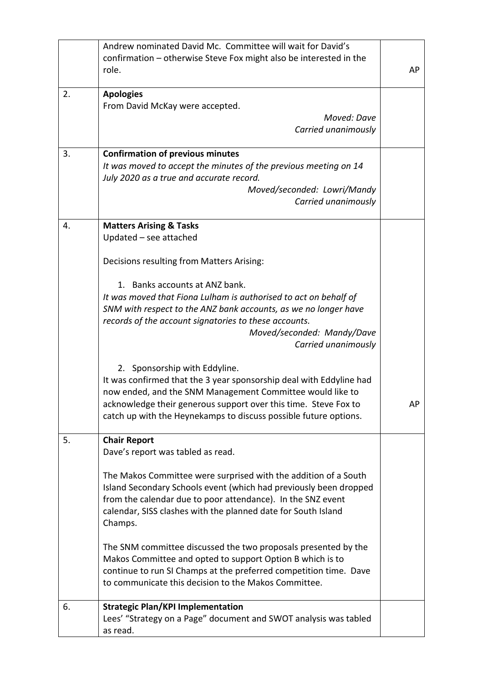|    | Andrew nominated David Mc. Committee will wait for David's<br>confirmation - otherwise Steve Fox might also be interested in the<br>role.                                                                                                                                                                                                                                                                                                                                                                                                                                                                                                | AP |
|----|------------------------------------------------------------------------------------------------------------------------------------------------------------------------------------------------------------------------------------------------------------------------------------------------------------------------------------------------------------------------------------------------------------------------------------------------------------------------------------------------------------------------------------------------------------------------------------------------------------------------------------------|----|
| 2. | <b>Apologies</b><br>From David McKay were accepted.<br>Moved: Dave<br>Carried unanimously                                                                                                                                                                                                                                                                                                                                                                                                                                                                                                                                                |    |
| 3. | <b>Confirmation of previous minutes</b><br>It was moved to accept the minutes of the previous meeting on 14<br>July 2020 as a true and accurate record.<br>Moved/seconded: Lowri/Mandy<br>Carried unanimously                                                                                                                                                                                                                                                                                                                                                                                                                            |    |
| 4. | <b>Matters Arising &amp; Tasks</b><br>Updated - see attached<br>Decisions resulting from Matters Arising:<br>1. Banks accounts at ANZ bank.<br>It was moved that Fiona Lulham is authorised to act on behalf of<br>SNM with respect to the ANZ bank accounts, as we no longer have<br>records of the account signatories to these accounts.<br>Moved/seconded: Mandy/Dave<br>Carried unanimously<br>2. Sponsorship with Eddyline.<br>It was confirmed that the 3 year sponsorship deal with Eddyline had<br>now ended, and the SNM Management Committee would like to<br>acknowledge their generous support over this time. Steve Fox to | AP |
| 5. | catch up with the Heynekamps to discuss possible future options.<br><b>Chair Report</b>                                                                                                                                                                                                                                                                                                                                                                                                                                                                                                                                                  |    |
|    | Dave's report was tabled as read.<br>The Makos Committee were surprised with the addition of a South<br>Island Secondary Schools event (which had previously been dropped<br>from the calendar due to poor attendance). In the SNZ event<br>calendar, SISS clashes with the planned date for South Island<br>Champs.<br>The SNM committee discussed the two proposals presented by the<br>Makos Committee and opted to support Option B which is to<br>continue to run SI Champs at the preferred competition time. Dave<br>to communicate this decision to the Makos Committee.                                                         |    |
| 6. | <b>Strategic Plan/KPI Implementation</b><br>Lees' "Strategy on a Page" document and SWOT analysis was tabled<br>as read.                                                                                                                                                                                                                                                                                                                                                                                                                                                                                                                 |    |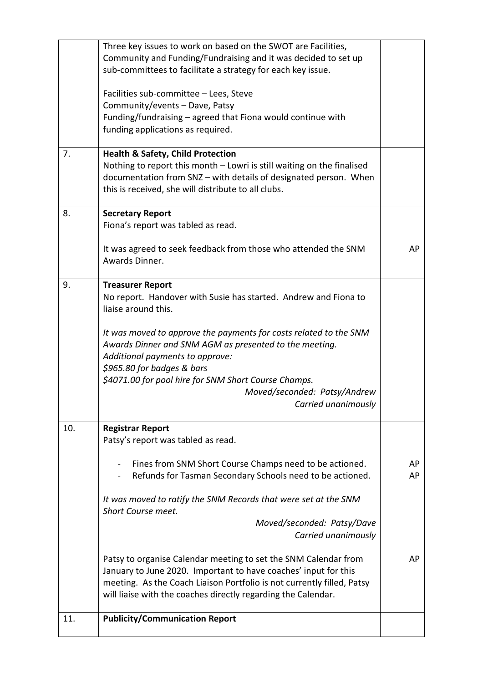|     | Three key issues to work on based on the SWOT are Facilities,<br>Community and Funding/Fundraising and it was decided to set up<br>sub-committees to facilitate a strategy for each key issue.                                                                                                              |          |
|-----|-------------------------------------------------------------------------------------------------------------------------------------------------------------------------------------------------------------------------------------------------------------------------------------------------------------|----------|
|     | Facilities sub-committee - Lees, Steve<br>Community/events - Dave, Patsy<br>Funding/fundraising - agreed that Fiona would continue with<br>funding applications as required.                                                                                                                                |          |
| 7.  | <b>Health &amp; Safety, Child Protection</b><br>Nothing to report this month - Lowri is still waiting on the finalised<br>documentation from SNZ - with details of designated person. When<br>this is received, she will distribute to all clubs.                                                           |          |
| 8.  | <b>Secretary Report</b><br>Fiona's report was tabled as read.                                                                                                                                                                                                                                               |          |
|     | It was agreed to seek feedback from those who attended the SNM<br>Awards Dinner.                                                                                                                                                                                                                            | AP       |
| 9.  | <b>Treasurer Report</b><br>No report. Handover with Susie has started. Andrew and Fiona to<br>liaise around this.                                                                                                                                                                                           |          |
|     | It was moved to approve the payments for costs related to the SNM<br>Awards Dinner and SNM AGM as presented to the meeting.<br>Additional payments to approve:<br>\$965.80 for badges & bars<br>\$4071.00 for pool hire for SNM Short Course Champs.<br>Moved/seconded: Patsy/Andrew<br>Carried unanimously |          |
| 10. | <b>Registrar Report</b><br>Patsy's report was tabled as read.                                                                                                                                                                                                                                               |          |
|     | Fines from SNM Short Course Champs need to be actioned.<br>$\blacksquare$<br>Refunds for Tasman Secondary Schools need to be actioned.                                                                                                                                                                      | AP<br>AP |
|     | It was moved to ratify the SNM Records that were set at the SNM<br>Short Course meet.                                                                                                                                                                                                                       |          |
|     | Moved/seconded: Patsy/Dave<br>Carried unanimously                                                                                                                                                                                                                                                           |          |
|     | Patsy to organise Calendar meeting to set the SNM Calendar from<br>January to June 2020. Important to have coaches' input for this<br>meeting. As the Coach Liaison Portfolio is not currently filled, Patsy<br>will liaise with the coaches directly regarding the Calendar.                               | AP       |
| 11. | <b>Publicity/Communication Report</b>                                                                                                                                                                                                                                                                       |          |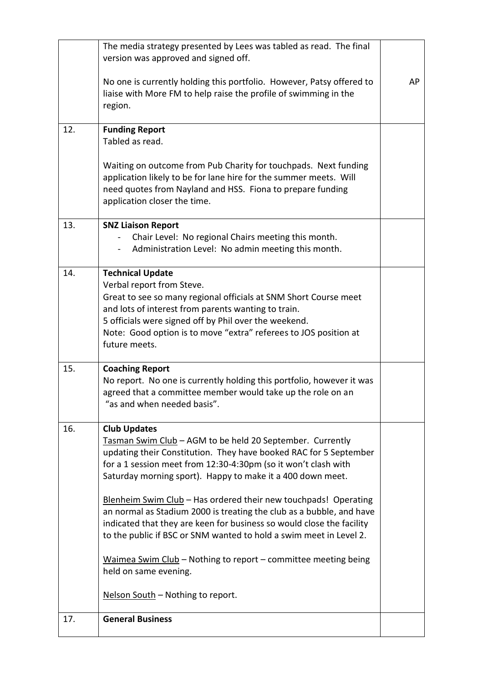|     | The media strategy presented by Lees was tabled as read. The final<br>version was approved and signed off.                                                                                                                                                                                                                                                                                                                                                                                                                                                                                                                                                                 |    |  |
|-----|----------------------------------------------------------------------------------------------------------------------------------------------------------------------------------------------------------------------------------------------------------------------------------------------------------------------------------------------------------------------------------------------------------------------------------------------------------------------------------------------------------------------------------------------------------------------------------------------------------------------------------------------------------------------------|----|--|
|     | No one is currently holding this portfolio. However, Patsy offered to<br>liaise with More FM to help raise the profile of swimming in the<br>region.                                                                                                                                                                                                                                                                                                                                                                                                                                                                                                                       | AP |  |
| 12. | <b>Funding Report</b><br>Tabled as read.                                                                                                                                                                                                                                                                                                                                                                                                                                                                                                                                                                                                                                   |    |  |
|     | Waiting on outcome from Pub Charity for touchpads. Next funding<br>application likely to be for lane hire for the summer meets. Will<br>need quotes from Nayland and HSS. Fiona to prepare funding<br>application closer the time.                                                                                                                                                                                                                                                                                                                                                                                                                                         |    |  |
| 13. | <b>SNZ Liaison Report</b><br>Chair Level: No regional Chairs meeting this month.<br>Administration Level: No admin meeting this month.                                                                                                                                                                                                                                                                                                                                                                                                                                                                                                                                     |    |  |
| 14. | <b>Technical Update</b><br>Verbal report from Steve.<br>Great to see so many regional officials at SNM Short Course meet<br>and lots of interest from parents wanting to train.<br>5 officials were signed off by Phil over the weekend.<br>Note: Good option is to move "extra" referees to JOS position at<br>future meets.                                                                                                                                                                                                                                                                                                                                              |    |  |
| 15. | <b>Coaching Report</b><br>No report. No one is currently holding this portfolio, however it was<br>agreed that a committee member would take up the role on an<br>"as and when needed basis".                                                                                                                                                                                                                                                                                                                                                                                                                                                                              |    |  |
| 16. | <b>Club Updates</b><br>Tasman Swim Club - AGM to be held 20 September. Currently<br>updating their Constitution. They have booked RAC for 5 September<br>for a 1 session meet from 12:30-4:30pm (so it won't clash with<br>Saturday morning sport). Happy to make it a 400 down meet.<br>Blenheim Swim Club - Has ordered their new touchpads! Operating<br>an normal as Stadium 2000 is treating the club as a bubble, and have<br>indicated that they are keen for business so would close the facility<br>to the public if BSC or SNM wanted to hold a swim meet in Level 2.<br>Waimea Swim Club - Nothing to report - committee meeting being<br>held on same evening. |    |  |
|     | Nelson South - Nothing to report.                                                                                                                                                                                                                                                                                                                                                                                                                                                                                                                                                                                                                                          |    |  |
| 17. | <b>General Business</b>                                                                                                                                                                                                                                                                                                                                                                                                                                                                                                                                                                                                                                                    |    |  |